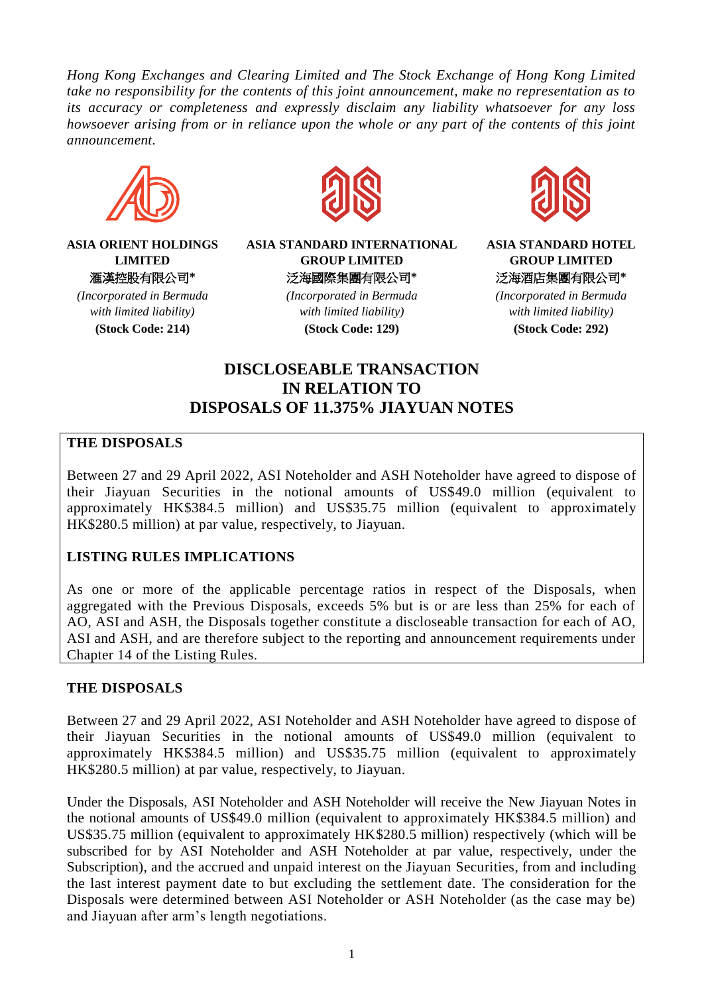*Hong Kong Exchanges and Clearing Limited and The Stock Exchange of Hong Kong Limited take no responsibility for the contents of this joint announcement, make no representation as to its accuracy or completeness and expressly disclaim any liability whatsoever for any loss howsoever arising from or in reliance upon the whole or any part of the contents of this joint announcement.*



**ASIA ORIENT HOLDINGS LIMITED** 滙漢控股有限公司**\***

*(Incorporated in Bermuda with limited liability)* **(Stock Code: 214)**



**ASIA STANDARD INTERNATIONAL GROUP LIMITED** 泛海國際集團有限公司**\***

> *(Incorporated in Bermuda with limited liability)* **(Stock Code: 129)**



**ASIA STANDARD HOTEL GROUP LIMITED** 泛海酒店集團有限公司**\***

*(Incorporated in Bermuda with limited liability)* **(Stock Code: 292)**

# **DISCLOSEABLE TRANSACTION IN RELATION TO DISPOSALS OF 11.375% JIAYUAN NOTES**

### **THE DISPOSALS**

Between 27 and 29 April 2022, ASI Noteholder and ASH Noteholder have agreed to dispose of their Jiayuan Securities in the notional amounts of US\$49.0 million (equivalent to approximately HK\$384.5 million) and US\$35.75 million (equivalent to approximately HK\$280.5 million) at par value, respectively, to Jiayuan.

### **LISTING RULES IMPLICATIONS**

As one or more of the applicable percentage ratios in respect of the Disposals, when aggregated with the Previous Disposals, exceeds 5% but is or are less than 25% for each of AO, ASI and ASH, the Disposals together constitute a discloseable transaction for each of AO, ASI and ASH, and are therefore subject to the reporting and announcement requirements under Chapter 14 of the Listing Rules.

### **THE DISPOSALS**

Between 27 and 29 April 2022, ASI Noteholder and ASH Noteholder have agreed to dispose of their Jiayuan Securities in the notional amounts of US\$49.0 million (equivalent to approximately HK\$384.5 million) and US\$35.75 million (equivalent to approximately HK\$280.5 million) at par value, respectively, to Jiayuan.

Under the Disposals, ASI Noteholder and ASH Noteholder will receive the New Jiayuan Notes in the notional amounts of US\$49.0 million (equivalent to approximately HK\$384.5 million) and US\$35.75 million (equivalent to approximately HK\$280.5 million) respectively (which will be subscribed for by ASI Noteholder and ASH Noteholder at par value, respectively, under the Subscription), and the accrued and unpaid interest on the Jiayuan Securities, from and including the last interest payment date to but excluding the settlement date. The consideration for the Disposals were determined between ASI Noteholder or ASH Noteholder (as the case may be) and Jiayuan after arm's length negotiations.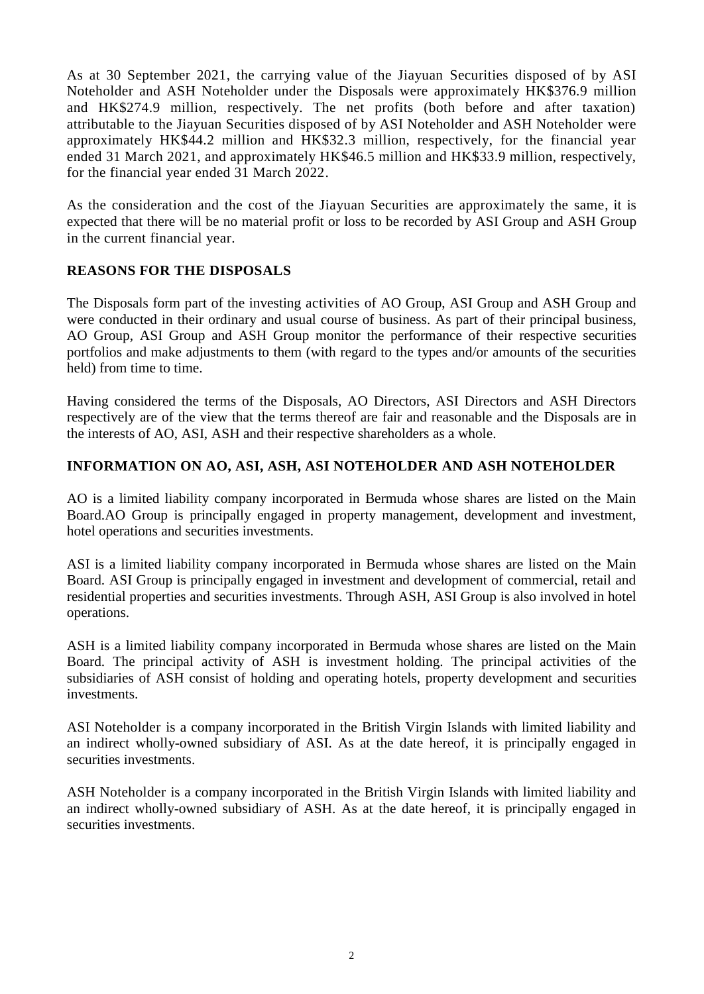As at 30 September 2021, the carrying value of the Jiayuan Securities disposed of by ASI Noteholder and ASH Noteholder under the Disposals were approximately HK\$376.9 million and HK\$274.9 million, respectively. The net profits (both before and after taxation) attributable to the Jiayuan Securities disposed of by ASI Noteholder and ASH Noteholder were approximately HK\$44.2 million and HK\$32.3 million, respectively, for the financial year ended 31 March 2021, and approximately HK\$46.5 million and HK\$33.9 million, respectively, for the financial year ended 31 March 2022.

As the consideration and the cost of the Jiayuan Securities are approximately the same, it is expected that there will be no material profit or loss to be recorded by ASI Group and ASH Group in the current financial year.

### **REASONS FOR THE DISPOSALS**

The Disposals form part of the investing activities of AO Group, ASI Group and ASH Group and were conducted in their ordinary and usual course of business. As part of their principal business, AO Group, ASI Group and ASH Group monitor the performance of their respective securities portfolios and make adjustments to them (with regard to the types and/or amounts of the securities held) from time to time.

Having considered the terms of the Disposals, AO Directors, ASI Directors and ASH Directors respectively are of the view that the terms thereof are fair and reasonable and the Disposals are in the interests of AO, ASI, ASH and their respective shareholders as a whole.

# **INFORMATION ON AO, ASI, ASH, ASI NOTEHOLDER AND ASH NOTEHOLDER**

AO is a limited liability company incorporated in Bermuda whose shares are listed on the Main Board.AO Group is principally engaged in property management, development and investment, hotel operations and securities investments.

ASI is a limited liability company incorporated in Bermuda whose shares are listed on the Main Board. ASI Group is principally engaged in investment and development of commercial, retail and residential properties and securities investments. Through ASH, ASI Group is also involved in hotel operations.

ASH is a limited liability company incorporated in Bermuda whose shares are listed on the Main Board. The principal activity of ASH is investment holding. The principal activities of the subsidiaries of ASH consist of holding and operating hotels, property development and securities investments.

ASI Noteholder is a company incorporated in the British Virgin Islands with limited liability and an indirect wholly-owned subsidiary of ASI. As at the date hereof, it is principally engaged in securities investments.

ASH Noteholder is a company incorporated in the British Virgin Islands with limited liability and an indirect wholly-owned subsidiary of ASH. As at the date hereof, it is principally engaged in securities investments.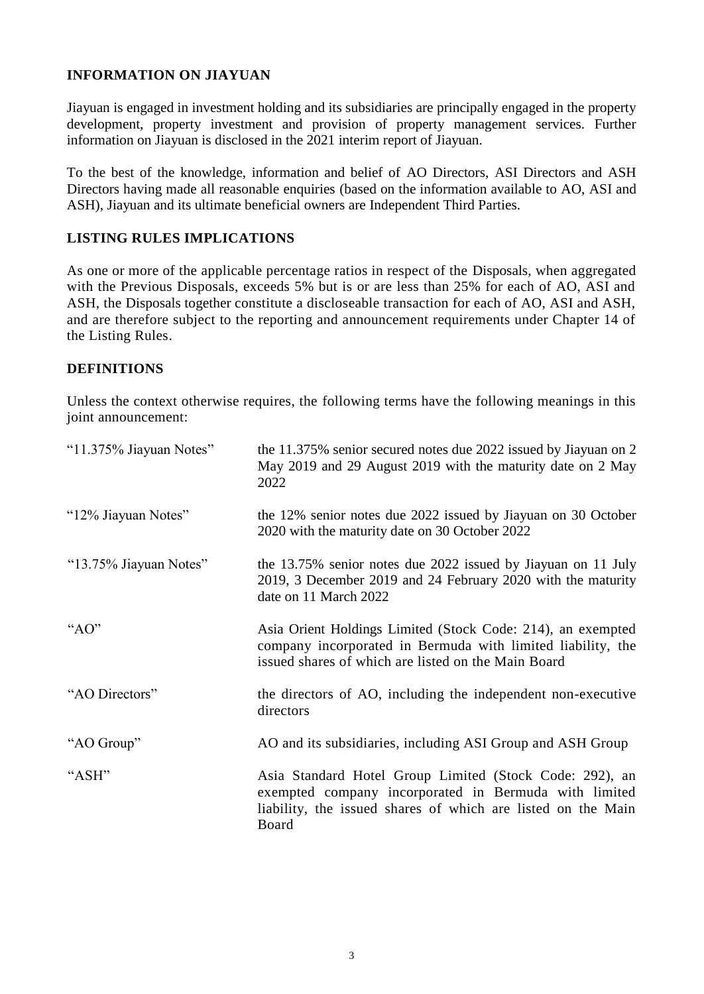## **INFORMATION ON JIAYUAN**

Jiayuan is engaged in investment holding and its subsidiaries are principally engaged in the property development, property investment and provision of property management services. Further information on Jiayuan is disclosed in the 2021 interim report of Jiayuan.

To the best of the knowledge, information and belief of AO Directors, ASI Directors and ASH Directors having made all reasonable enquiries (based on the information available to AO, ASI and ASH), Jiayuan and its ultimate beneficial owners are Independent Third Parties.

### **LISTING RULES IMPLICATIONS**

As one or more of the applicable percentage ratios in respect of the Disposals, when aggregated with the Previous Disposals, exceeds 5% but is or are less than 25% for each of AO, ASI and ASH, the Disposals together constitute a discloseable transaction for each of AO, ASI and ASH, and are therefore subject to the reporting and announcement requirements under Chapter 14 of the Listing Rules.

#### **DEFINITIONS**

Unless the context otherwise requires, the following terms have the following meanings in this joint announcement:

| "11.375% Jiayuan Notes" | the 11.375% senior secured notes due 2022 issued by Jiayuan on 2<br>May 2019 and 29 August 2019 with the maturity date on 2 May<br>2022                                                   |
|-------------------------|-------------------------------------------------------------------------------------------------------------------------------------------------------------------------------------------|
| "12% Jiayuan Notes"     | the 12% senior notes due 2022 issued by Jiayuan on 30 October<br>2020 with the maturity date on 30 October 2022                                                                           |
| "13.75% Jiayuan Notes"  | the 13.75% senior notes due 2022 issued by Jiayuan on 11 July<br>2019, 3 December 2019 and 24 February 2020 with the maturity<br>date on 11 March 2022                                    |
| " $AO"$                 | Asia Orient Holdings Limited (Stock Code: 214), an exempted<br>company incorporated in Bermuda with limited liability, the<br>issued shares of which are listed on the Main Board         |
| "AO Directors"          | the directors of AO, including the independent non-executive<br>directors                                                                                                                 |
| "AO Group"              | AO and its subsidiaries, including ASI Group and ASH Group                                                                                                                                |
| "ASH"                   | Asia Standard Hotel Group Limited (Stock Code: 292), an<br>exempted company incorporated in Bermuda with limited<br>liability, the issued shares of which are listed on the Main<br>Board |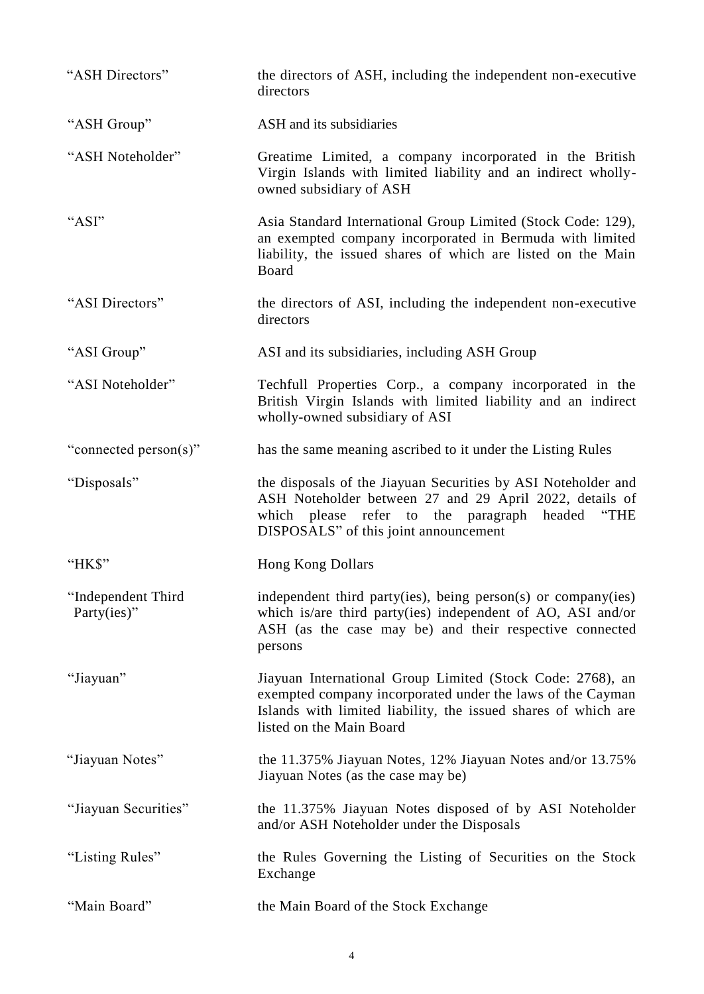| "ASH Directors"                       | the directors of ASH, including the independent non-executive<br>directors                                                                                                                                                         |
|---------------------------------------|------------------------------------------------------------------------------------------------------------------------------------------------------------------------------------------------------------------------------------|
| "ASH Group"                           | ASH and its subsidiaries                                                                                                                                                                                                           |
| "ASH Noteholder"                      | Greatime Limited, a company incorporated in the British<br>Virgin Islands with limited liability and an indirect wholly-<br>owned subsidiary of ASH                                                                                |
| "ASI"                                 | Asia Standard International Group Limited (Stock Code: 129),<br>an exempted company incorporated in Bermuda with limited<br>liability, the issued shares of which are listed on the Main<br>Board                                  |
| "ASI Directors"                       | the directors of ASI, including the independent non-executive<br>directors                                                                                                                                                         |
| "ASI Group"                           | ASI and its subsidiaries, including ASH Group                                                                                                                                                                                      |
| "ASI Noteholder"                      | Techfull Properties Corp., a company incorporated in the<br>British Virgin Islands with limited liability and an indirect<br>wholly-owned subsidiary of ASI                                                                        |
| "connected person(s)"                 | has the same meaning ascribed to it under the Listing Rules                                                                                                                                                                        |
| "Disposals"                           | the disposals of the Jiayuan Securities by ASI Noteholder and<br>ASH Noteholder between 27 and 29 April 2022, details of<br>which please refer to the paragraph<br>$\lq\lq$ THE<br>headed<br>DISPOSALS" of this joint announcement |
| "НК\$"                                | <b>Hong Kong Dollars</b>                                                                                                                                                                                                           |
| "Independent Third<br>Party $(ies)$ " | independent third party(ies), being person(s) or company(ies)<br>which is/are third party(ies) independent of AO, ASI and/or<br>ASH (as the case may be) and their respective connected<br>persons                                 |
| "Jiayuan"                             | Jiayuan International Group Limited (Stock Code: 2768), an<br>exempted company incorporated under the laws of the Cayman<br>Islands with limited liability, the issued shares of which are<br>listed on the Main Board             |
| "Jiayuan Notes"                       | the 11.375% Jiayuan Notes, 12% Jiayuan Notes and/or 13.75%<br>Jiayuan Notes (as the case may be)                                                                                                                                   |
| "Jiayuan Securities"                  | the 11.375% Jiayuan Notes disposed of by ASI Noteholder<br>and/or ASH Noteholder under the Disposals                                                                                                                               |
| "Listing Rules"                       | the Rules Governing the Listing of Securities on the Stock<br>Exchange                                                                                                                                                             |
| "Main Board"                          | the Main Board of the Stock Exchange                                                                                                                                                                                               |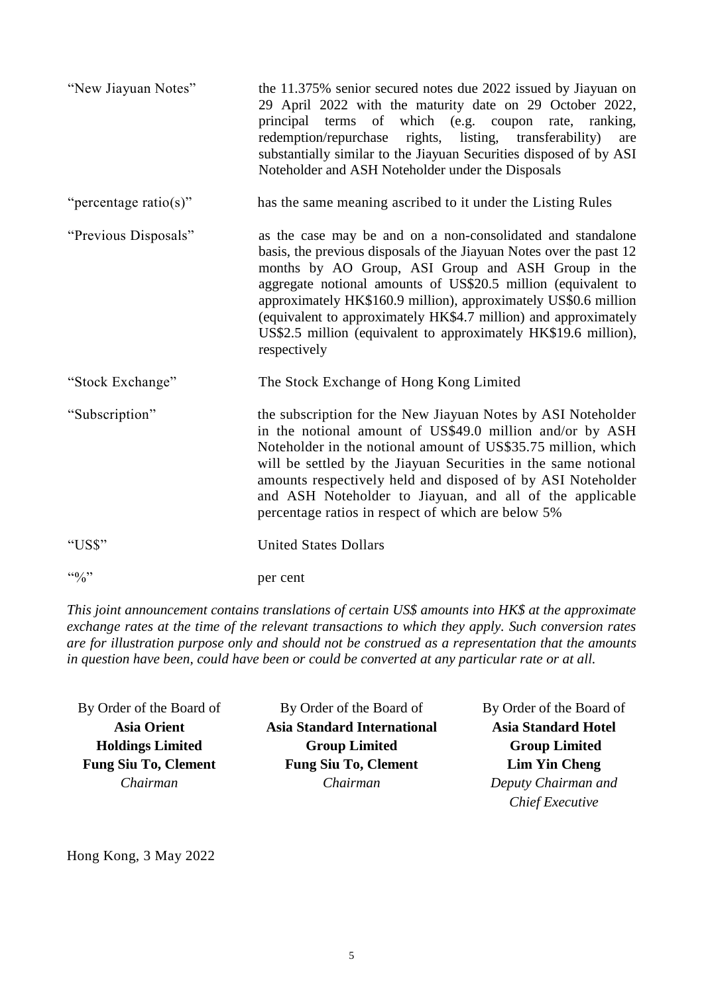| "New Jiayuan Notes"   | the 11.375% senior secured notes due 2022 issued by Jiayuan on<br>29 April 2022 with the maturity date on 29 October 2022,<br>which (e.g. coupon<br>of<br>principal<br>terms<br>rate,<br>ranking,<br>redemption/repurchase rights, listing, transferability)<br>are<br>substantially similar to the Jiayuan Securities disposed of by ASI<br>Noteholder and ASH Noteholder under the Disposals                                                                                     |
|-----------------------|------------------------------------------------------------------------------------------------------------------------------------------------------------------------------------------------------------------------------------------------------------------------------------------------------------------------------------------------------------------------------------------------------------------------------------------------------------------------------------|
| "percentage ratio(s)" | has the same meaning ascribed to it under the Listing Rules                                                                                                                                                                                                                                                                                                                                                                                                                        |
| "Previous Disposals"  | as the case may be and on a non-consolidated and standalone<br>basis, the previous disposals of the Jiayuan Notes over the past 12<br>months by AO Group, ASI Group and ASH Group in the<br>aggregate notional amounts of US\$20.5 million (equivalent to<br>approximately HK\$160.9 million), approximately US\$0.6 million<br>(equivalent to approximately HK\$4.7 million) and approximately<br>US\$2.5 million (equivalent to approximately HK\$19.6 million),<br>respectively |
| "Stock Exchange"      | The Stock Exchange of Hong Kong Limited                                                                                                                                                                                                                                                                                                                                                                                                                                            |
| "Subscription"        | the subscription for the New Jiayuan Notes by ASI Noteholder<br>in the notional amount of US\$49.0 million and/or by ASH<br>Noteholder in the notional amount of US\$35.75 million, which<br>will be settled by the Jiayuan Securities in the same notional<br>amounts respectively held and disposed of by ASI Noteholder<br>and ASH Noteholder to Jiayuan, and all of the applicable<br>percentage ratios in respect of which are below 5%                                       |
| "US\$"                | <b>United States Dollars</b>                                                                                                                                                                                                                                                                                                                                                                                                                                                       |
| $\frac{1}{100}$       | per cent                                                                                                                                                                                                                                                                                                                                                                                                                                                                           |

*This joint announcement contains translations of certain US\$ amounts into HK\$ at the approximate exchange rates at the time of the relevant transactions to which they apply. Such conversion rates are for illustration purpose only and should not be construed as a representation that the amounts in question have been, could have been or could be converted at any particular rate or at all.* 

By Order of the Board of **Asia Orient Holdings Limited Fung Siu To, Clement** *Chairman*

By Order of the Board of **Asia Standard International Group Limited Fung Siu To, Clement** *Chairman*

By Order of the Board of **Asia Standard Hotel Group Limited Lim Yin Cheng** *Deputy Chairman and Chief Executive*

Hong Kong, 3 May 2022